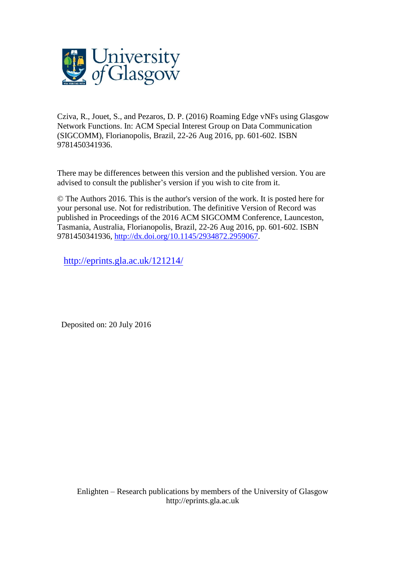

Cziva, R., Jouet, S., and Pezaros, D. P. (2016) Roaming Edge vNFs using Glasgow Network Functions. In: ACM Special Interest Group on Data Communication (SIGCOMM), Florianopolis, Brazil, 22-26 Aug 2016, pp. 601-602. ISBN 9781450341936.

There may be differences between this version and the published version. You are advised to consult the publisher's version if you wish to cite from it.

© The Authors 2016. This is the author's version of the work. It is posted here for your personal use. Not for redistribution. The definitive Version of Record was published in Proceedings of the 2016 ACM SIGCOMM Conference, Launceston, Tasmania, Australia, Florianopolis, Brazil, 22-26 Aug 2016, pp. 601-602. ISBN 9781450341936, [http://dx.doi.org/10.1145/2934872.2959067.](http://dx.doi.org/10.1145/2934872.2959067)

<http://eprints.gla.ac.uk/121214/>

Deposited on: 20 July 2016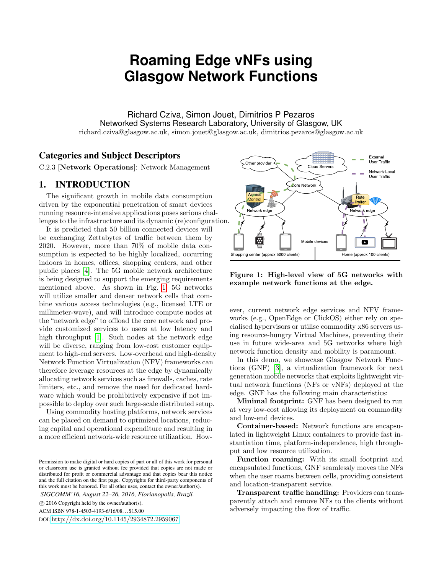# **Roaming Edge vNFs using Glasgow Network Functions**

Richard Cziva, Simon Jouet, Dimitrios P Pezaros Networked Systems Research Laboratory, University of Glasgow, UK richard.cziva@glasgow.ac.uk, simon.jouet@glasgow.ac.uk, dimitrios.pezaros@glasgow.ac.uk

## Categories and Subject Descriptors

C.2.3 [Network Operations]: Network Management

## 1. INTRODUCTION

The significant growth in mobile data consumption driven by the exponential penetration of smart devices running resource-intensive applications poses serious challenges to the infrastructure and its dynamic (re)configuration.

It is predicted that 50 billion connected devices will be exchanging Zettabytes of traffic between them by 2020. However, more than 70% of mobile data consumption is expected to be highly localized, occurring indoors in homes, offices, shopping centers, and other public places [\[4\]](#page-2-0). The 5G mobile network architecture is being designed to support the emerging requirements mentioned above. As shown in Fig. [1,](#page-1-0) 5G networks will utilize smaller and denser network cells that combine various access technologies (e.g., licensed LTE or millimeter-wave), and will introduce compute nodes at the "network edge" to offload the core network and provide customized services to users at low latency and high throughput [\[1\]](#page-2-1). Such nodes at the network edge will be diverse, ranging from low-cost customer equipment to high-end servers. Low-overhead and high-density Network Function Virtualization (NFV) frameworks can therefore leverage resources at the edge by dynamically allocating network services such as firewalls, caches, rate limiters, etc., and remove the need for dedicated hardware which would be prohibitively expensive if not impossible to deploy over such large-scale distributed setup.

Using commodity hosting platforms, network services can be placed on demand to optimized locations, reducing capital and operational expenditure and resulting in a more efficient network-wide resource utilization. How-

*SIGCOMM'16, August 22–26, 2016, Florianopolis, Brazil.*

c 2016 Copyright held by the owner/author(s).

DOI: <http://dx.doi.org/10.1145/2934872.2959067>



<span id="page-1-0"></span>Figure 1: High-level view of 5G networks with example network functions at the edge.

ever, current network edge services and NFV frameworks (e.g., OpenEdge or ClickOS) either rely on specialised hypervisors or utilise commodity x86 servers using resource-hungry Virtual Machines, preventing their use in future wide-area and 5G networks where high network function density and mobility is paramount.

In this demo, we showcase Glasgow Network Functions (GNF) [\[3\]](#page-2-2), a virtualization framework for next generation mobile networks that exploits lightweight virtual network functions (NFs or vNFs) deployed at the edge. GNF has the following main characteristics:

Minimal footprint: GNF has been designed to run at very low-cost allowing its deployment on commodity and low-end devices.

Container-based: Network functions are encapsulated in lightweight Linux containers to provide fast instantiation time, platform-independence, high throughput and low resource utilization.

Function roaming: With its small footprint and encapsulated functions, GNF seamlessly moves the NFs when the user roams between cells, providing consistent and location-transparent service.

Transparent traffic handling: Providers can transparently attach and remove NFs to the clients without adversely impacting the flow of traffic.

Permission to make digital or hard copies of part or all of this work for personal or classroom use is granted without fee provided that copies are not made or distributed for profit or commercial advantage and that copies bear this notice and the full citation on the first page. Copyrights for third-party components of this work must be honored. For all other uses, contact the owner/author(s).

ACM ISBN 978-1-4503-4193-6/16/08. . . \$15.00